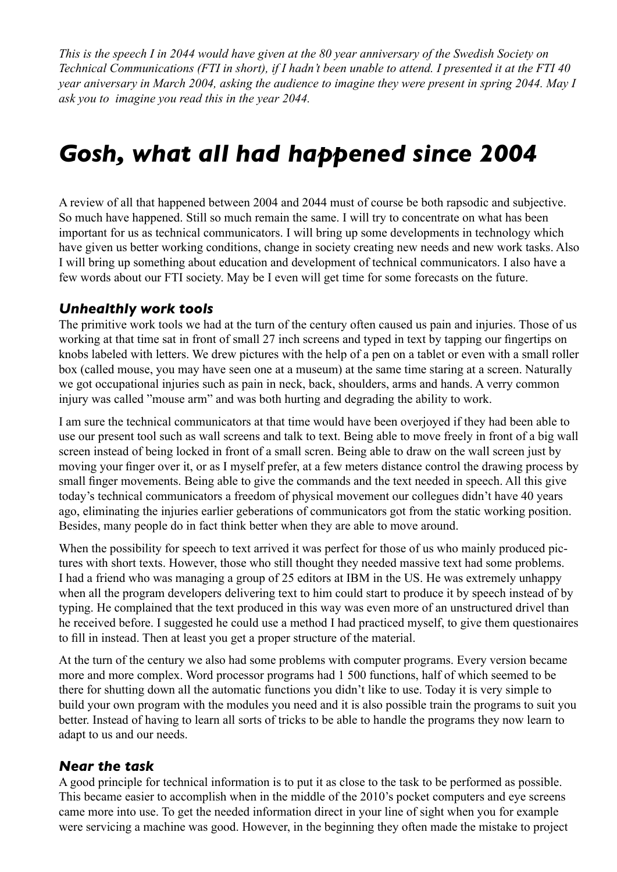*This is the speech I in 2044 would have given at the 80 year anniversary of the Swedish Society on Technical Communications (FTI in short), if I hadn't been unable to attend. I presented it at the FTI 40 year aniversary in March 2004, asking the audience to imagine they were present in spring 2044. May I ask you to imagine you read this in the year 2044.*

# *Gosh, what all had happened since 2004*

A review of all that happened between 2004 and 2044 must of course be both rapsodic and subjective. So much have happened. Still so much remain the same. I will try to concentrate on what has been important for us as technical communicators. I will bring up some developments in technology which have given us better working conditions, change in society creating new needs and new work tasks. Also I will bring up something about education and development of technical communicators. I also have a few words about our FTI society. May be I even will get time for some forecasts on the future.

#### *Unhealthly work tools*

The primitive work tools we had at the turn of the century often caused us pain and injuries. Those of us working at that time sat in front of small 27 inch screens and typed in text by tapping our fingertips on knobs labeled with letters. We drew pictures with the help of a pen on a tablet or even with a small roller box (called mouse, you may have seen one at a museum) at the same time staring at a screen. Naturally we got occupational injuries such as pain in neck, back, shoulders, arms and hands. A verry common injury was called "mouse arm" and was both hurting and degrading the ability to work.

I am sure the technical communicators at that time would have been overjoyed if they had been able to use our present tool such as wall screens and talk to text. Being able to move freely in front of a big wall screen instead of being locked in front of a small scren. Being able to draw on the wall screen just by moving your finger over it, or as I myself prefer, at a few meters distance control the drawing process by small finger movements. Being able to give the commands and the text needed in speech. All this give today's technical communicators a freedom of physical movement our collegues didn't have 40 years ago, eliminating the injuries earlier geberations of communicators got from the static working position. Besides, many people do in fact think better when they are able to move around.

When the possibility for speech to text arrived it was perfect for those of us who mainly produced pictures with short texts. However, those who still thought they needed massive text had some problems. I had a friend who was managing a group of 25 editors at IBM in the US. He was extremely unhappy when all the program developers delivering text to him could start to produce it by speech instead of by typing. He complained that the text produced in this way was even more of an unstructured drivel than he received before. I suggested he could use a method I had practiced myself, to give them questionaires to fill in instead. Then at least you get a proper structure of the material.

At the turn of the century we also had some problems with computer programs. Every version became more and more complex. Word processor programs had 1 500 functions, half of which seemed to be there for shutting down all the automatic functions you didn't like to use. Today it is very simple to build your own program with the modules you need and it is also possible train the programs to suit you better. Instead of having to learn all sorts of tricks to be able to handle the programs they now learn to adapt to us and our needs.

#### *Near the task*

A good principle for technical information is to put it as close to the task to be performed as possible. This became easier to accomplish when in the middle of the 2010's pocket computers and eye screens came more into use. To get the needed information direct in your line of sight when you for example were servicing a machine was good. However, in the beginning they often made the mistake to project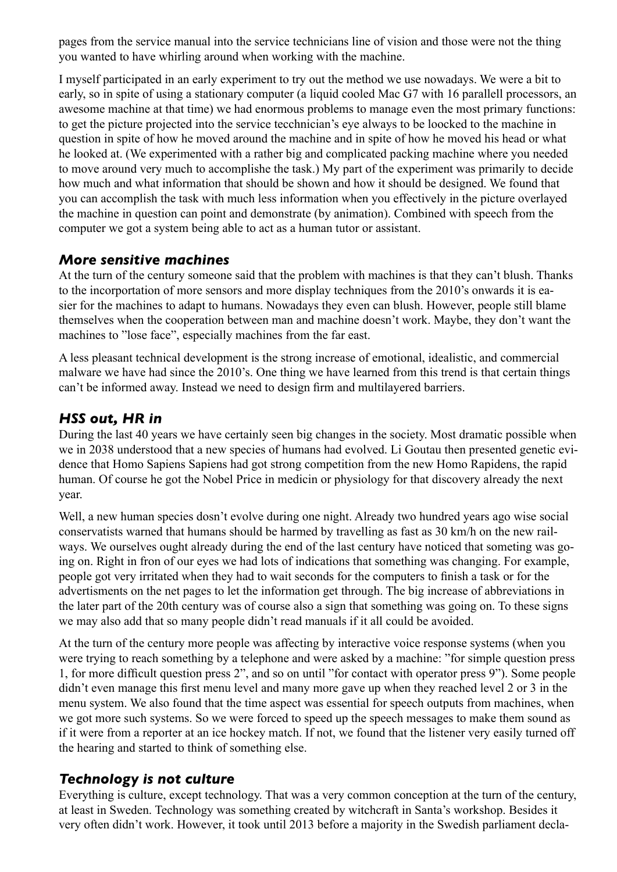pages from the service manual into the service technicians line of vision and those were not the thing you wanted to have whirling around when working with the machine.

I myself participated in an early experiment to try out the method we use nowadays. We were a bit to early, so in spite of using a stationary computer (a liquid cooled Mac G7 with 16 parallell processors, an awesome machine at that time) we had enormous problems to manage even the most primary functions: to get the picture projected into the service tecchnician's eye always to be loocked to the machine in question in spite of how he moved around the machine and in spite of how he moved his head or what he looked at. (We experimented with a rather big and complicated packing machine where you needed to move around very much to accomplishe the task.) My part of the experiment was primarily to decide how much and what information that should be shown and how it should be designed. We found that you can accomplish the task with much less information when you effectively in the picture overlayed the machine in question can point and demonstrate (by animation). Combined with speech from the computer we got a system being able to act as a human tutor or assistant.

#### *More sensitive machines*

At the turn of the century someone said that the problem with machines is that they can't blush. Thanks to the incorportation of more sensors and more display techniques from the 2010's onwards it is easier for the machines to adapt to humans. Nowadays they even can blush. However, people still blame themselves when the cooperation between man and machine doesn't work. Maybe, they don't want the machines to "lose face", especially machines from the far east.

A less pleasant technical development is the strong increase of emotional, idealistic, and commercial malware we have had since the 2010's. One thing we have learned from this trend is that certain things can't be informed away. Instead we need to design firm and multilayered barriers.

### *HSS out, HR in*

During the last 40 years we have certainly seen big changes in the society. Most dramatic possible when we in 2038 understood that a new species of humans had evolved. Li Goutau then presented genetic evidence that Homo Sapiens Sapiens had got strong competition from the new Homo Rapidens, the rapid human. Of course he got the Nobel Price in medicin or physiology for that discovery already the next year.

Well, a new human species dosn't evolve during one night. Already two hundred years ago wise social conservatists warned that humans should be harmed by travelling as fast as 30 km/h on the new railways. We ourselves ought already during the end of the last century have noticed that someting was going on. Right in fron of our eyes we had lots of indications that something was changing. For example, people got very irritated when they had to wait seconds for the computers to finish a task or for the advertisments on the net pages to let the information get through. The big increase of abbreviations in the later part of the 20th century was of course also a sign that something was going on. To these signs we may also add that so many people didn't read manuals if it all could be avoided.

At the turn of the century more people was affecting by interactive voice response systems (when you were trying to reach something by a telephone and were asked by a machine: "for simple question press 1, for more difficult question press 2", and so on until "for contact with operator press 9"). Some people didn't even manage this first menu level and many more gave up when they reached level 2 or 3 in the menu system. We also found that the time aspect was essential for speech outputs from machines, when we got more such systems. So we were forced to speed up the speech messages to make them sound as if it were from a reporter at an ice hockey match. If not, we found that the listener very easily turned off the hearing and started to think of something else.

### *Technology is not culture*

Everything is culture, except technology. That was a very common conception at the turn of the century, at least in Sweden. Technology was something created by witchcraft in Santa's workshop. Besides it very often didn't work. However, it took until 2013 before a majority in the Swedish parliament decla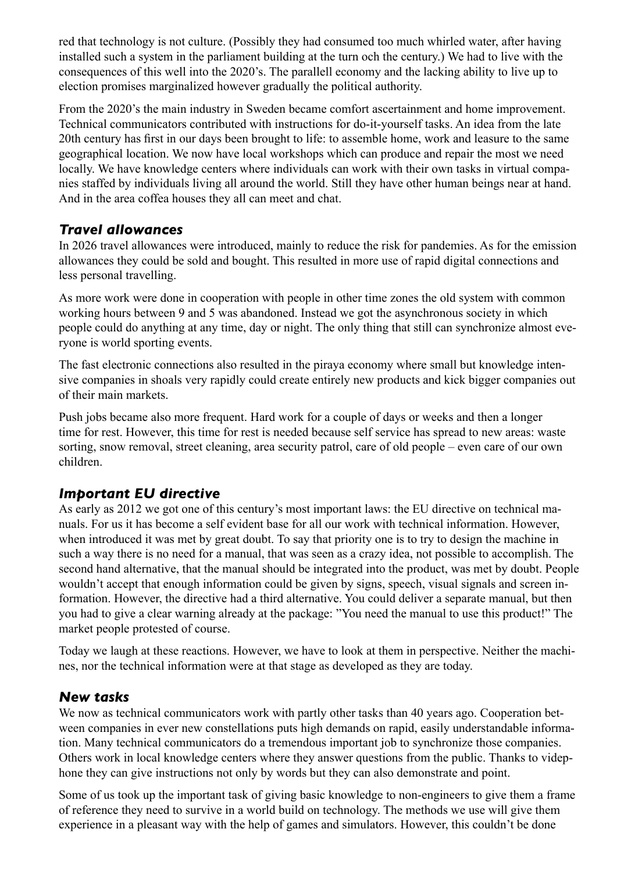red that technology is not culture. (Possibly they had consumed too much whirled water, after having installed such a system in the parliament building at the turn och the century.) We had to live with the consequences of this well into the 2020's. The parallell economy and the lacking ability to live up to election promises marginalized however gradually the political authority.

From the 2020's the main industry in Sweden became comfort ascertainment and home improvement. Technical communicators contributed with instructions for do-it-yourself tasks. An idea from the late 20th century has first in our days been brought to life: to assemble home, work and leasure to the same geographical location. We now have local workshops which can produce and repair the most we need locally. We have knowledge centers where individuals can work with their own tasks in virtual companies staffed by individuals living all around the world. Still they have other human beings near at hand. And in the area coffea houses they all can meet and chat.

## *Travel allowances*

In 2026 travel allowances were introduced, mainly to reduce the risk for pandemies. As for the emission allowances they could be sold and bought. This resulted in more use of rapid digital connections and less personal travelling.

As more work were done in cooperation with people in other time zones the old system with common working hours between 9 and 5 was abandoned. Instead we got the asynchronous society in which people could do anything at any time, day or night. The only thing that still can synchronize almost everyone is world sporting events.

The fast electronic connections also resulted in the piraya economy where small but knowledge intensive companies in shoals very rapidly could create entirely new products and kick bigger companies out of their main markets.

Push jobs became also more frequent. Hard work for a couple of days or weeks and then a longer time for rest. However, this time for rest is needed because self service has spread to new areas: waste sorting, snow removal, street cleaning, area security patrol, care of old people – even care of our own children.

## *Important EU directive*

As early as 2012 we got one of this century's most important laws: the EU directive on technical manuals. For us it has become a self evident base for all our work with technical information. However, when introduced it was met by great doubt. To say that priority one is to try to design the machine in such a way there is no need for a manual, that was seen as a crazy idea, not possible to accomplish. The second hand alternative, that the manual should be integrated into the product, was met by doubt. People wouldn't accept that enough information could be given by signs, speech, visual signals and screen information. However, the directive had a third alternative. You could deliver a separate manual, but then you had to give a clear warning already at the package: "You need the manual to use this product!" The market people protested of course.

Today we laugh at these reactions. However, we have to look at them in perspective. Neither the machines, nor the technical information were at that stage as developed as they are today.

### *New tasks*

We now as technical communicators work with partly other tasks than 40 years ago. Cooperation between companies in ever new constellations puts high demands on rapid, easily understandable information. Many technical communicators do a tremendous important job to synchronize those companies. Others work in local knowledge centers where they answer questions from the public. Thanks to videphone they can give instructions not only by words but they can also demonstrate and point.

Some of us took up the important task of giving basic knowledge to non-engineers to give them a frame of reference they need to survive in a world build on technology. The methods we use will give them experience in a pleasant way with the help of games and simulators. However, this couldn't be done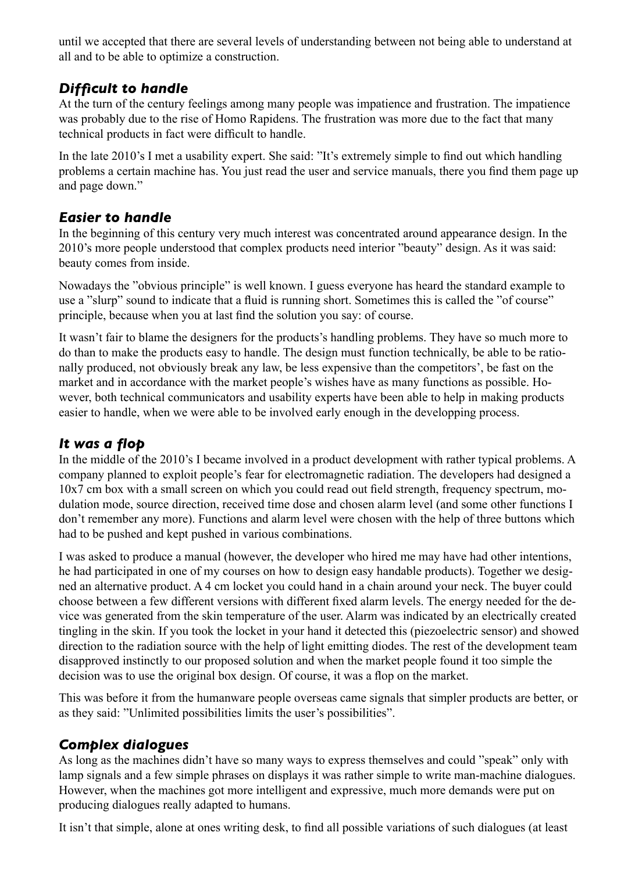until we accepted that there are several levels of understanding between not being able to understand at all and to be able to optimize a construction.

## *Difficult to handle*

At the turn of the century feelings among many people was impatience and frustration. The impatience was probably due to the rise of Homo Rapidens. The frustration was more due to the fact that many technical products in fact were difficult to handle.

In the late 2010's I met a usability expert. She said: "It's extremely simple to find out which handling problems a certain machine has. You just read the user and service manuals, there you find them page up and page down."

## *Easier to handle*

In the beginning of this century very much interest was concentrated around appearance design. In the 2010's more people understood that complex products need interior "beauty" design. As it was said: beauty comes from inside.

Nowadays the "obvious principle" is well known. I guess everyone has heard the standard example to use a "slurp" sound to indicate that a fluid is running short. Sometimes this is called the "of course" principle, because when you at last find the solution you say: of course.

It wasn't fair to blame the designers for the products's handling problems. They have so much more to do than to make the products easy to handle. The design must function technically, be able to be rationally produced, not obviously break any law, be less expensive than the competitors', be fast on the market and in accordance with the market people's wishes have as many functions as possible. However, both technical communicators and usability experts have been able to help in making products easier to handle, when we were able to be involved early enough in the developping process.

## *It was a flop*

In the middle of the 2010's I became involved in a product development with rather typical problems. A company planned to exploit people's fear for electromagnetic radiation. The developers had designed a 10x7 cm box with a small screen on which you could read out field strength, frequency spectrum, modulation mode, source direction, received time dose and chosen alarm level (and some other functions I don't remember any more). Functions and alarm level were chosen with the help of three buttons which had to be pushed and kept pushed in various combinations.

I was asked to produce a manual (however, the developer who hired me may have had other intentions, he had participated in one of my courses on how to design easy handable products). Together we designed an alternative product. A 4 cm locket you could hand in a chain around your neck. The buyer could choose between a few different versions with different fixed alarm levels. The energy needed for the device was generated from the skin temperature of the user. Alarm was indicated by an electrically created tingling in the skin. If you took the locket in your hand it detected this (piezoelectric sensor) and showed direction to the radiation source with the help of light emitting diodes. The rest of the development team disapproved instinctly to our proposed solution and when the market people found it too simple the decision was to use the original box design. Of course, it was a flop on the market.

This was before it from the humanware people overseas came signals that simpler products are better, or as they said: "Unlimited possibilities limits the user's possibilities".

## *Complex dialogues*

As long as the machines didn't have so many ways to express themselves and could "speak" only with lamp signals and a few simple phrases on displays it was rather simple to write man-machine dialogues. However, when the machines got more intelligent and expressive, much more demands were put on producing dialogues really adapted to humans.

It isn't that simple, alone at ones writing desk, to find all possible variations of such dialogues (at least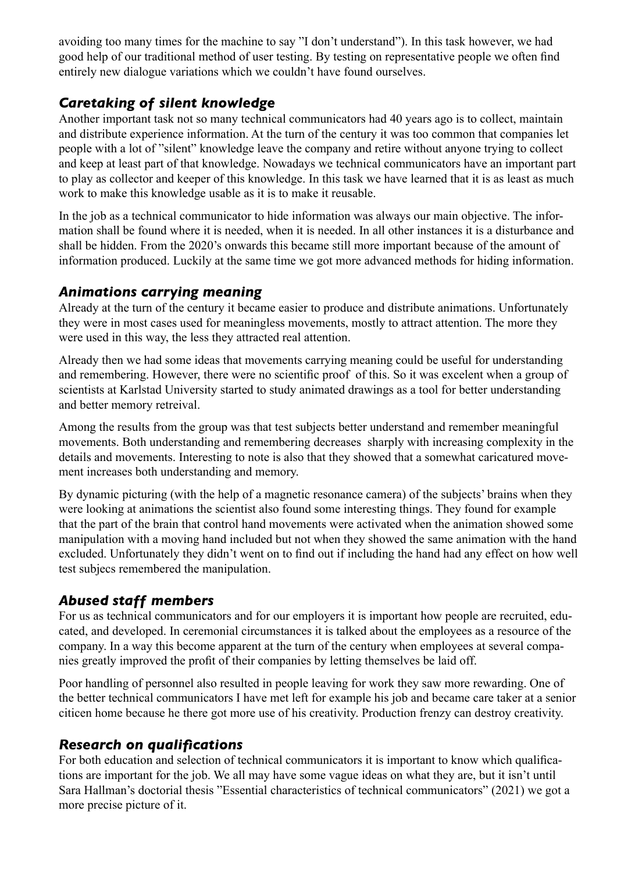avoiding too many times for the machine to say "I don't understand"). In this task however, we had good help of our traditional method of user testing. By testing on representative people we often find entirely new dialogue variations which we couldn't have found ourselves.

# *Caretaking of silent knowledge*

Another important task not so many technical communicators had 40 years ago is to collect, maintain and distribute experience information. At the turn of the century it was too common that companies let people with a lot of "silent" knowledge leave the company and retire without anyone trying to collect and keep at least part of that knowledge. Nowadays we technical communicators have an important part to play as collector and keeper of this knowledge. In this task we have learned that it is as least as much work to make this knowledge usable as it is to make it reusable.

In the job as a technical communicator to hide information was always our main objective. The information shall be found where it is needed, when it is needed. In all other instances it is a disturbance and shall be hidden. From the 2020's onwards this became still more important because of the amount of information produced. Luckily at the same time we got more advanced methods for hiding information.

## *Animations carrying meaning*

Already at the turn of the century it became easier to produce and distribute animations. Unfortunately they were in most cases used for meaningless movements, mostly to attract attention. The more they were used in this way, the less they attracted real attention.

Already then we had some ideas that movements carrying meaning could be useful for understanding and remembering. However, there were no scientific proof of this. So it was excelent when a group of scientists at Karlstad University started to study animated drawings as a tool for better understanding and better memory retreival.

Among the results from the group was that test subjects better understand and remember meaningful movements. Both understanding and remembering decreases sharply with increasing complexity in the details and movements. Interesting to note is also that they showed that a somewhat caricatured movement increases both understanding and memory.

By dynamic picturing (with the help of a magnetic resonance camera) of the subjects' brains when they were looking at animations the scientist also found some interesting things. They found for example that the part of the brain that control hand movements were activated when the animation showed some manipulation with a moving hand included but not when they showed the same animation with the hand excluded. Unfortunately they didn't went on to find out if including the hand had any effect on how well test subjecs remembered the manipulation.

## *Abused staff members*

For us as technical communicators and for our employers it is important how people are recruited, educated, and developed. In ceremonial circumstances it is talked about the employees as a resource of the company. In a way this become apparent at the turn of the century when employees at several companies greatly improved the profit of their companies by letting themselves be laid off.

Poor handling of personnel also resulted in people leaving for work they saw more rewarding. One of the better technical communicators I have met left for example his job and became care taker at a senior citicen home because he there got more use of his creativity. Production frenzy can destroy creativity.

### *Research on qualifications*

For both education and selection of technical communicators it is important to know which qualifications are important for the job. We all may have some vague ideas on what they are, but it isn't until Sara Hallman's doctorial thesis "Essential characteristics of technical communicators" (2021) we got a more precise picture of it.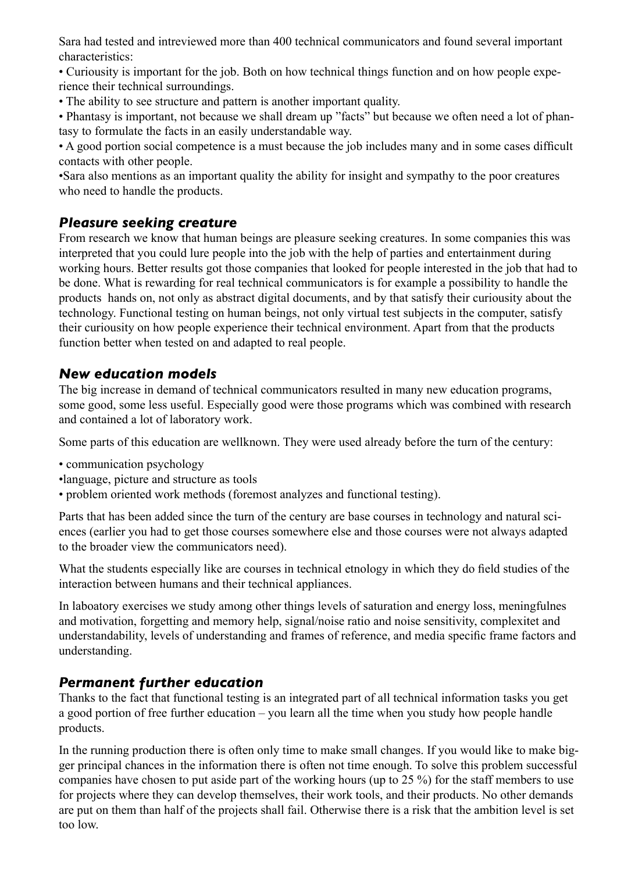Sara had tested and intreviewed more than 400 technical communicators and found several important characteristics:

• Curiousity is important for the job. Both on how technical things function and on how people experience their technical surroundings.

• The ability to see structure and pattern is another important quality.

• Phantasy is important, not because we shall dream up "facts" but because we often need a lot of phantasy to formulate the facts in an easily understandable way.

• A good portion social competence is a must because the job includes many and in some cases difficult contacts with other people.

•Sara also mentions as an important quality the ability for insight and sympathy to the poor creatures who need to handle the products.

### *Pleasure seeking creature*

From research we know that human beings are pleasure seeking creatures. In some companies this was interpreted that you could lure people into the job with the help of parties and entertainment during working hours. Better results got those companies that looked for people interested in the job that had to be done. What is rewarding for real technical communicators is for example a possibility to handle the products hands on, not only as abstract digital documents, and by that satisfy their curiousity about the technology. Functional testing on human beings, not only virtual test subjects in the computer, satisfy their curiousity on how people experience their technical environment. Apart from that the products function better when tested on and adapted to real people.

### *New education models*

The big increase in demand of technical communicators resulted in many new education programs, some good, some less useful. Especially good were those programs which was combined with research and contained a lot of laboratory work.

Some parts of this education are wellknown. They were used already before the turn of the century:

- communication psychology
- •language, picture and structure as tools
- problem oriented work methods (foremost analyzes and functional testing).

Parts that has been added since the turn of the century are base courses in technology and natural sciences (earlier you had to get those courses somewhere else and those courses were not always adapted to the broader view the communicators need).

What the students especially like are courses in technical etnology in which they do field studies of the interaction between humans and their technical appliances.

In laboatory exercises we study among other things levels of saturation and energy loss, meningfulnes and motivation, forgetting and memory help, signal/noise ratio and noise sensitivity, complexitet and understandability, levels of understanding and frames of reference, and media specific frame factors and understanding.

#### *Permanent further education*

Thanks to the fact that functional testing is an integrated part of all technical information tasks you get a good portion of free further education – you learn all the time when you study how people handle products.

In the running production there is often only time to make small changes. If you would like to make bigger principal chances in the information there is often not time enough. To solve this problem successful companies have chosen to put aside part of the working hours (up to 25 %) for the staff members to use for projects where they can develop themselves, their work tools, and their products. No other demands are put on them than half of the projects shall fail. Otherwise there is a risk that the ambition level is set too low.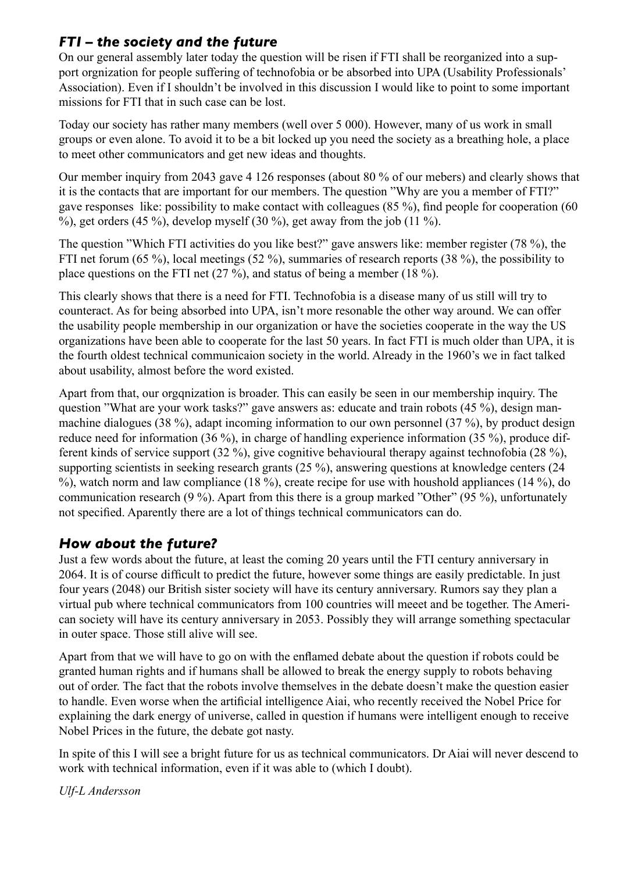## *FTI – the society and the future*

On our general assembly later today the question will be risen if FTI shall be reorganized into a support orgnization for people suffering of technofobia or be absorbed into UPA (Usability Professionals' Association). Even if I shouldn't be involved in this discussion I would like to point to some important missions for FTI that in such case can be lost.

Today our society has rather many members (well over 5 000). However, many of us work in small groups or even alone. To avoid it to be a bit locked up you need the society as a breathing hole, a place to meet other communicators and get new ideas and thoughts.

Our member inquiry from 2043 gave 4 126 responses (about 80 % of our mebers) and clearly shows that it is the contacts that are important for our members. The question "Why are you a member of FTI?" gave responses like: possibility to make contact with colleagues (85 %), find people for cooperation (60 %), get orders  $(45\%)$ , develop myself  $(30\%)$ , get away from the job  $(11\%)$ .

The question "Which FTI activities do you like best?" gave answers like: member register (78 %), the FTI net forum (65 %), local meetings (52 %), summaries of research reports (38 %), the possibility to place questions on the FTI net (27 %), and status of being a member (18 %).

This clearly shows that there is a need for FTI. Technofobia is a disease many of us still will try to counteract. As for being absorbed into UPA, isn't more resonable the other way around. We can offer the usability people membership in our organization or have the societies cooperate in the way the US organizations have been able to cooperate for the last 50 years. In fact FTI is much older than UPA, it is the fourth oldest technical communicaion society in the world. Already in the 1960's we in fact talked about usability, almost before the word existed.

Apart from that, our orgqnization is broader. This can easily be seen in our membership inquiry. The question "What are your work tasks?" gave answers as: educate and train robots (45 %), design manmachine dialogues (38 %), adapt incoming information to our own personnel (37 %), by product design reduce need for information (36 %), in charge of handling experience information (35 %), produce different kinds of service support (32 %), give cognitive behavioural therapy against technofobia (28 %), supporting scientists in seeking research grants (25 %), answering questions at knowledge centers (24 %), watch norm and law compliance (18 %), create recipe for use with houshold appliances (14 %), do communication research (9 %). Apart from this there is a group marked "Other" (95 %), unfortunately not specified. Aparently there are a lot of things technical communicators can do.

# *How about the future?*

Just a few words about the future, at least the coming 20 years until the FTI century anniversary in 2064. It is of course difficult to predict the future, however some things are easily predictable. In just four years (2048) our British sister society will have its century anniversary. Rumors say they plan a virtual pub where technical communicators from 100 countries will meeet and be together. The American society will have its century anniversary in 2053. Possibly they will arrange something spectacular in outer space. Those still alive will see.

Apart from that we will have to go on with the enflamed debate about the question if robots could be granted human rights and if humans shall be allowed to break the energy supply to robots behaving out of order. The fact that the robots involve themselves in the debate doesn't make the question easier to handle. Even worse when the artificial intelligence Aiai, who recently received the Nobel Price for explaining the dark energy of universe, called in question if humans were intelligent enough to receive Nobel Prices in the future, the debate got nasty.

In spite of this I will see a bright future for us as technical communicators. Dr Aiai will never descend to work with technical information, even if it was able to (which I doubt).

*Ulf-L Andersson*